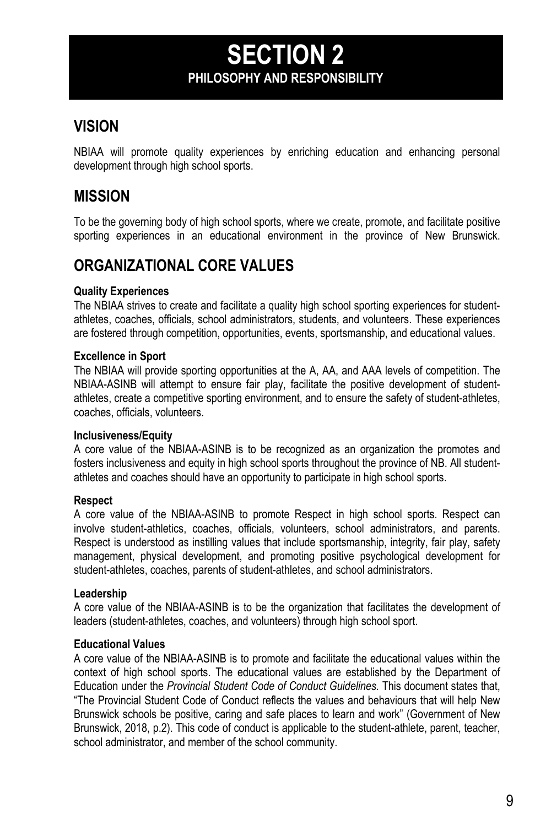## **SECTION 2 PHILOSOPHY AND RESPONSIBILITY**

### **VISION**

NBIAA will promote quality experiences by enriching education and enhancing personal development through high school sports.

### **MISSION**

To be the governing body of high school sports, where we create, promote, and facilitate positive sporting experiences in an educational environment in the province of New Brunswick.

### **ORGANIZATIONAL CORE VALUES**

#### **Quality Experiences**

The NBIAA strives to create and facilitate a quality high school sporting experiences for studentathletes, coaches, officials, school administrators, students, and volunteers. These experiences are fostered through competition, opportunities, events, sportsmanship, and educational values.

#### **Excellence in Sport**

The NBIAA will provide sporting opportunities at the A, AA, and AAA levels of competition. The NBIAA-ASINB will attempt to ensure fair play, facilitate the positive development of studentathletes, create a competitive sporting environment, and to ensure the safety of student-athletes, coaches, officials, volunteers.

#### **Inclusiveness/Equity**

A core value of the NBIAA-ASINB is to be recognized as an organization the promotes and fosters inclusiveness and equity in high school sports throughout the province of NB. All studentathletes and coaches should have an opportunity to participate in high school sports.

#### **Respect**

A core value of the NBIAA-ASINB to promote Respect in high school sports. Respect can involve student-athletics, coaches, officials, volunteers, school administrators, and parents. Respect is understood as instilling values that include sportsmanship, integrity, fair play, safety management, physical development, and promoting positive psychological development for student-athletes, coaches, parents of student-athletes, and school administrators.

#### **Leadership**

A core value of the NBIAA-ASINB is to be the organization that facilitates the development of leaders (student-athletes, coaches, and volunteers) through high school sport.

#### **Educational Values**

A core value of the NBIAA-ASINB is to promote and facilitate the educational values within the context of high school sports. The educational values are established by the Department of Education under the *Provincial Student Code of Conduct Guidelines.* This document states that, "The Provincial Student Code of Conduct reflects the values and behaviours that will help New Brunswick schools be positive, caring and safe places to learn and work" (Government of New Brunswick, 2018, p.2). This code of conduct is applicable to the student-athlete, parent, teacher, school administrator, and member of the school community.